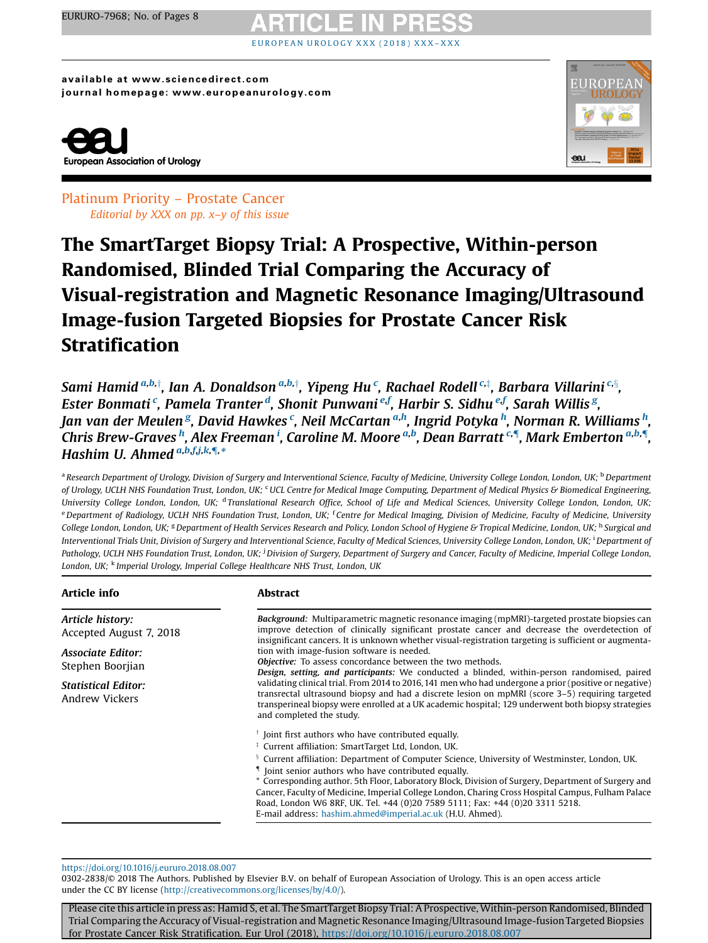# O P E A N U R O L O G Y X X X (2018) X X X

available at www.sciencedirect.com journal homepage: www.europeanurology.com





### Platinum Priority – Prostate Cancer Editorial by XXX on pp.  $x-y$  of this issue

### The SmartTarget Biopsy Trial: A Prospective, Within-person Randomised, Blinded Trial Comparing the Accuracy of Visual-registration and Magnetic Resonance Imaging/Ultrasound Image-fusion Targeted Biopsies for Prostate Cancer Risk Stratification

Sami Hamid <sup>a,b,†</sup>, Ian A. Donaldson <sup>a,b,†</sup>, Yipeng Hu <sup>c</sup>, Rachael Rodell <sup>c,‡</sup>, Barbara Villarini <sup>c,§</sup>, Ester Bonmati<sup>c</sup>, Pamela Tranter'<sup>d</sup>, Shonit Punwani'<sup>e,f</sup>, Harbir S. Sidhu'<sup>e,f</sup>, Sarah Willis'<sup>s</sup>, Jan van der Meulen<sup>g</sup>, David Hawkes <sup>c</sup>, Neil McCartan <sup>a,h</sup>, Ingrid Potyka <sup>h</sup>, Norman R. Williams <sup>h</sup>, Chris Brew-Graves <sup>h</sup>, Alex Freeman <sup>i</sup>, Caroline M. Moore <sup>a,b</sup>, Dean Barratt <sup>c,¶</sup>, Mark Emberton <sup>a,b,¶</sup>, Hashim U. Ahmed <sup>a,b,f,j,k,¶,\*</sup>

<sup>a</sup> Research Department of Urology, Division of Surgery and Interventional Science, Faculty of Medicine, University College London, London, UK; <sup>b</sup> Department of Urology, UCLH NHS Foundation Trust, London, UK; <sup>c</sup>UCL Centre for Medical Image Computing, Department of Medical Physics & Biomedical Engineering, University College London, London, UK; <sup>d</sup> Translational Research Office, School of Life and Medical Sciences, University College London, London, UK; <sup>e</sup> Department of Radiology, UCLH NHS Foundation Trust, London, UK; <sup>f</sup> Centre for Medical Imaging, Division of Medicine, Faculty of Medicine, University College London, London, UK; <sup>g</sup> Department of Health Services Research and Policy, London School of Hygiene & Tropical Medicine, London, UK; <sup>h</sup> Surgical and Interventional Trials Unit, Division of Surgery and Interventional Science, Faculty of Medical Sciences, University College London, London, UK; <sup>i</sup> Department of Pathology, UCLH NHS Foundation Trust, London, UK; <sup>j</sup> Division of Surgery, Department of Surgery and Cancer, Faculty of Medicine, Imperial College London, London, UK;  $k$  Imperial Urology, Imperial College Healthcare NHS Trust, London, UK

### Article info

**Article hist** Accepted *F* 

Associate E Stephen Bo

Statistical Andrew Vi

### Abstract

| orv:           | Background: Multiparametric magnetic resonance imaging (mpMRI)-targeted prostate biopsies can                                                                                                             |
|----------------|-----------------------------------------------------------------------------------------------------------------------------------------------------------------------------------------------------------|
| lugust 7, 2018 | improve detection of clinically significant prostate cancer and decrease the overdetection of<br>insignificant cancers. It is unknown whether visual-registration targeting is sufficient or augmenta-    |
| ditor:         | tion with image-fusion software is needed.                                                                                                                                                                |
| oorjian        | <b>Objective:</b> To assess concordance between the two methods.                                                                                                                                          |
|                | Design, setting, and participants: We conducted a blinded, within-person randomised, paired                                                                                                               |
| Editor:        | validating clinical trial. From 2014 to 2016, 141 men who had undergone a prior (positive or negative)<br>transrectal ultrasound biopsy and had a discrete lesion on mpMRI (score 3–5) requiring targeted |
| ckers          | transperineal biopsy were enrolled at a UK academic hospital; 129 underwent both biopsy strategies                                                                                                        |
|                | and completed the study.                                                                                                                                                                                  |
|                | $\dagger$ Joint first authors who have contributed equally.                                                                                                                                               |
|                | <sup>‡</sup> Current affiliation: SmartTarget Ltd, London, UK.                                                                                                                                            |
|                | <sup>§</sup> Current affiliation: Department of Computer Science, University of Westminster, London, UK.                                                                                                  |
|                | <sup>1</sup> Joint senior authors who have contributed equally.                                                                                                                                           |
|                | Corresponding author. 5th Floor, Laboratory Block, Division of Surgery, Department of Surgery and                                                                                                         |
|                | Cancer, Faculty of Medicine, Imperial College London, Charing Cross Hospital Campus, Fulham Palace                                                                                                        |
|                | Road, London W6 8RF, UK. Tel. +44 (0)20 7589 5111; Fax: +44 (0)20 3311 5218.                                                                                                                              |
|                | E-mail address: hashim.ahmed@imperial.ac.uk (H.U. Ahmed).                                                                                                                                                 |

<https://doi.org/10.1016/j.eururo.2018.08.007>

0302-2838/© 2018 The Authors. Published by Elsevier B.V. on behalf of European Association of Urology. This is an open access article under the CC BY license (<http://creativecommons.org/licenses/by/4.0/>).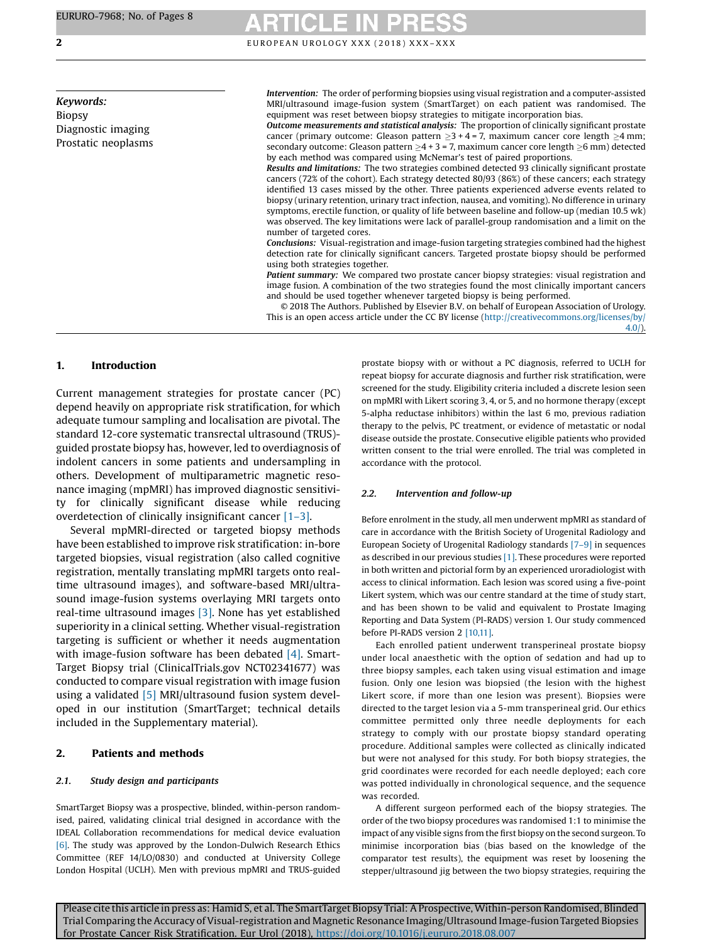EURURO-7968; No. of Pages 8

Keywords: Biopsy Diagnostic imaging Prostatic neoplasms

2 EUROPEAN UROLOGY XXX (2018) XXX-XXX

Intervention: The order of performing biopsies using visual registration and a computer-assisted MRI/ultrasound image-fusion system (SmartTarget) on each patient was randomised. The equipment was reset between biopsy strategies to mitigate incorporation bias.

Outcome measurements and statistical analysis: The proportion of clinically significant prostate cancer (primary outcome: Gleason pattern  $\geq$ 3 + 4 = 7, maximum cancer core length  $\geq$ 4 mm; secondary outcome: Gleason pattern  $\geq$ 4 + 3 = 7, maximum cancer core length  $\geq$ 6 mm) detected by each method was compared using McNemar's test of paired proportions.

Results and limitations: The two strategies combined detected 93 clinically significant prostate cancers (72% of the cohort). Each strategy detected 80/93 (86%) of these cancers; each strategy identified 13 cases missed by the other. Three patients experienced adverse events related to biopsy (urinary retention, urinary tract infection, nausea, and vomiting). No difference in urinary symptoms, erectile function, or quality of life between baseline and follow-up (median 10.5 wk) was observed. The key limitations were lack of parallel-group randomisation and a limit on the number of targeted cores.

Conclusions: Visual-registration and image-fusion targeting strategies combined had the highest detection rate for clinically significant cancers. Targeted prostate biopsy should be performed using both strategies together.

Patient summary: We compared two prostate cancer biopsy strategies: visual registration and image fusion. A combination of the two strategies found the most clinically important cancers and should be used together whenever targeted biopsy is being performed.

© 2018 The Authors. Published by Elsevier B.V. on behalf of European Association of Urology. This is an open access article under the CC BY license ([http://creativecommons.org/licenses/by/](http://creativecommons.org/licenses/by/4.0/) [4.0/](http://creativecommons.org/licenses/by/4.0/)).

### 1. Introduction

Current management strategies for prostate cancer (PC) depend heavily on appropriate risk stratification, for which adequate tumour sampling and localisation are pivotal. The standard 12-core systematic transrectal ultrasound (TRUS) guided prostate biopsy has, however, led to overdiagnosis of indolent cancers in some patients and undersampling in others. Development of multiparametric magnetic resonance imaging (mpMRI) has improved diagnostic sensitivity for clinically significant disease while reducing overdetection of clinically insignificant cancer [1–[3\].](#page-6-0)

Several mpMRI-directed or targeted biopsy methods have been established to improve risk stratification: in-bore targeted biopsies, visual registration (also called cognitive registration, mentally translating mpMRI targets onto realtime ultrasound images), and software-based MRI/ultrasound image-fusion systems overlaying MRI targets onto real-time ultrasound images [\[3\]](#page-6-0). None has yet established superiority in a clinical setting. Whether visual-registration targeting is sufficient or whether it needs augmentation with image-fusion software has been debated [\[4\]](#page-6-0). Smart-Target Biopsy trial (ClinicalTrials.gov NCT02341677) was conducted to compare visual registration with image fusion using a validated [\[5\]](#page-6-0) MRI/ultrasound fusion system developed in our institution (SmartTarget; technical details included in the Supplementary material).

### 2. Patients and methods

### 2.1. Study design and participants

SmartTarget Biopsy was a prospective, blinded, within-person randomised, paired, validating clinical trial designed in accordance with the IDEAL Collaboration recommendations for medical device evaluation [\[6\].](#page-6-0) The study was approved by the London-Dulwich Research Ethics Committee (REF 14/LO/0830) and conducted at University College London Hospital (UCLH). Men with previous mpMRI and TRUS-guided

prostate biopsy with or without a PC diagnosis, referred to UCLH for repeat biopsy for accurate diagnosis and further risk stratification, were screened for the study. Eligibility criteria included a discrete lesion seen on mpMRI with Likert scoring 3, 4, or 5, and no hormone therapy (except 5-alpha reductase inhibitors) within the last 6 mo, previous radiation therapy to the pelvis, PC treatment, or evidence of metastatic or nodal disease outside the prostate. Consecutive eligible patients who provided written consent to the trial were enrolled. The trial was completed in accordance with the protocol.

### 2.2. Intervention and follow-up

Before enrolment in the study, all men underwent mpMRI as standard of care in accordance with the British Society of Urogenital Radiology and European Society of Urogenital Radiology standards [\[7](#page-6-0)–9] in sequences as described in our previous studies [\[1\]](#page-6-0). These procedures were reported in both written and pictorial form by an experienced uroradiologist with access to clinical information. Each lesion was scored using a five-point Likert system, which was our centre standard at the time of study start, and has been shown to be valid and equivalent to Prostate Imaging Reporting and Data System (PI-RADS) version 1. Our study commenced before PI-RADS version 2 [\[10,11\].](#page-6-0)

Each enrolled patient underwent transperineal prostate biopsy under local anaesthetic with the option of sedation and had up to three biopsy samples, each taken using visual estimation and image fusion. Only one lesion was biopsied (the lesion with the highest Likert score, if more than one lesion was present). Biopsies were directed to the target lesion via a 5-mm transperineal grid. Our ethics committee permitted only three needle deployments for each strategy to comply with our prostate biopsy standard operating procedure. Additional samples were collected as clinically indicated but were not analysed for this study. For both biopsy strategies, the grid coordinates were recorded for each needle deployed; each core was potted individually in chronological sequence, and the sequence was recorded.

A different surgeon performed each of the biopsy strategies. The order of the two biopsy procedures was randomised 1:1 to minimise the impact of any visible signs from the first biopsy on the second surgeon. To minimise incorporation bias (bias based on the knowledge of the comparator test results), the equipment was reset by loosening the stepper/ultrasound jig between the two biopsy strategies, requiring the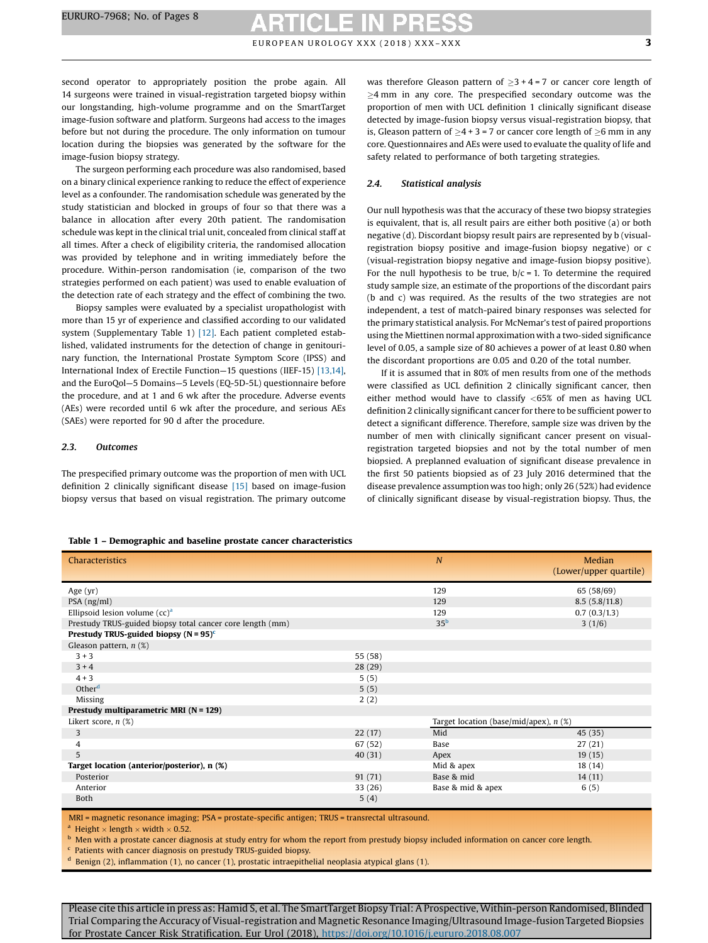$E$  U R O P E AN U ROLOGY XXX (2018) XXX-XX  $\sim$  3

<span id="page-2-0"></span>second operator to appropriately position the probe again. All 14 surgeons were trained in visual-registration targeted biopsy within our longstanding, high-volume programme and on the SmartTarget image-fusion software and platform. Surgeons had access to the images before but not during the procedure. The only information on tumour location during the biopsies was generated by the software for the image-fusion biopsy strategy.

The surgeon performing each procedure was also randomised, based on a binary clinical experience ranking to reduce the effect of experience level as a confounder. The randomisation schedule was generated by the study statistician and blocked in groups of four so that there was a balance in allocation after every 20th patient. The randomisation schedule was kept in the clinical trial unit, concealed from clinical staff at all times. After a check of eligibility criteria, the randomised allocation was provided by telephone and in writing immediately before the procedure. Within-person randomisation (ie, comparison of the two strategies performed on each patient) was used to enable evaluation of the detection rate of each strategy and the effect of combining the two.

Biopsy samples were evaluated by a specialist uropathologist with more than 15 yr of experience and classified according to our validated system (Supplementary Table 1) [\[12\]](#page-7-0). Each patient completed established, validated instruments for the detection of change in genitourinary function, the International Prostate Symptom Score (IPSS) and International Index of Erectile Function—15 questions (IIEF-15) [\[13,14\]](#page-7-0), and the EuroQol—5 Domains—5 Levels (EQ-5D-5L) questionnaire before the procedure, and at 1 and 6 wk after the procedure. Adverse events (AEs) were recorded until 6 wk after the procedure, and serious AEs (SAEs) were reported for 90 d after the procedure.

### 2.3. Outcomes

The prespecified primary outcome was the proportion of men with UCL definition 2 clinically significant disease [\[15\]](#page-7-0) based on image-fusion biopsy versus that based on visual registration. The primary outcome

| Table 1 - Demographic and baseline prostate cancer characteristics |
|--------------------------------------------------------------------|
|--------------------------------------------------------------------|

was therefore Gleason pattern of  $\geq$ 3 + 4 = 7 or cancer core length of  $\geq$ 4 mm in any core. The prespecified secondary outcome was the proportion of men with UCL definition 1 clinically significant disease detected by image-fusion biopsy versus visual-registration biopsy, that is, Gleason pattern of  $\geq$ 4 + 3 = 7 or cancer core length of  $\geq$ 6 mm in any core. Questionnaires and AEs were used to evaluate the quality of life and safety related to performance of both targeting strategies.

#### 2.4. Statistical analysis

Our null hypothesis was that the accuracy of these two biopsy strategies is equivalent, that is, all result pairs are either both positive (a) or both negative (d). Discordant biopsy result pairs are represented by b (visualregistration biopsy positive and image-fusion biopsy negative) or c (visual-registration biopsy negative and image-fusion biopsy positive). For the null hypothesis to be true,  $b/c = 1$ . To determine the required study sample size, an estimate of the proportions of the discordant pairs (b and c) was required. As the results of the two strategies are not independent, a test of match-paired binary responses was selected for the primary statistical analysis. For McNemar's test of paired proportions using the Miettinen normal approximation with a two-sided significance level of 0.05, a sample size of 80 achieves a power of at least 0.80 when the discordant proportions are 0.05 and 0.20 of the total number.

If it is assumed that in 80% of men results from one of the methods were classified as UCL definition 2 clinically significant cancer, then either method would have to classify <65% of men as having UCL definition 2 clinically significant cancer for there to be sufficient power to detect a significant difference. Therefore, sample size was driven by the number of men with clinically significant cancer present on visualregistration targeted biopsies and not by the total number of men biopsied. A preplanned evaluation of significant disease prevalence in the first 50 patients biopsied as of 23 July 2016 determined that the disease prevalence assumption was too high; only 26 (52%) had evidence of clinically significant disease by visual-registration biopsy. Thus, the

| <b>Characteristics</b>                                    |         | N                                        | Median                 |
|-----------------------------------------------------------|---------|------------------------------------------|------------------------|
|                                                           |         |                                          | (Lower/upper quartile) |
| Age $(yr)$                                                |         | 129                                      | 65 (58/69)             |
| $PSA$ (ng/ml)                                             |         | 129                                      | 8.5(5.8/11.8)          |
| Ellipsoid lesion volume $(cc)^a$                          |         | 129                                      | 0.7(0.3/1.3)           |
| Prestudy TRUS-guided biopsy total cancer core length (mm) |         | 35 <sup>b</sup>                          | 3(1/6)                 |
| Prestudy TRUS-guided biopsy ( $N = 95$ ) <sup>c</sup>     |         |                                          |                        |
| Gleason pattern, $n$ (%)                                  |         |                                          |                        |
| $3 + 3$                                                   | 55 (58) |                                          |                        |
| $3 + 4$                                                   | 28(29)  |                                          |                        |
| $4 + 3$                                                   | 5(5)    |                                          |                        |
| Other <sup>d</sup>                                        | 5(5)    |                                          |                        |
| Missing                                                   | 2(2)    |                                          |                        |
| Prestudy multiparametric MRI (N = 129)                    |         |                                          |                        |
| Likert score, $n$ $(\%)$                                  |         | Target location (base/mid/apex), $n$ (%) |                        |
| 3                                                         | 22(17)  | Mid                                      | 45 (35)                |
| 4                                                         | 67 (52) | Base                                     | 27(21)                 |
| 5                                                         | 40 (31) | Apex                                     | 19(15)                 |
| Target location (anterior/posterior), n (%)               |         | Mid & apex                               | 18(14)                 |
| Posterior                                                 | 91 (71) | Base & mid                               | 14(11)                 |
| Anterior                                                  | 33(26)  | Base & mid & apex                        | 6(5)                   |
| Both                                                      | 5(4)    |                                          |                        |

MRI = magnetic resonance imaging; PSA = prostate-specific antigen; TRUS = transrectal ultrasound.

<sup>a</sup> Height  $\times$  length  $\times$  width  $\times$  0.52. **b** Men with a prostate cancer of whom the report from prestudy biopsy included information on cancer core length.

<sup>c</sup> Patients with cancer diagnosis on prestudy TRUS-guided biopsy.

Benign (2), inflammation (1), no cancer (1), prostatic intraepithelial neoplasia atypical glans (1).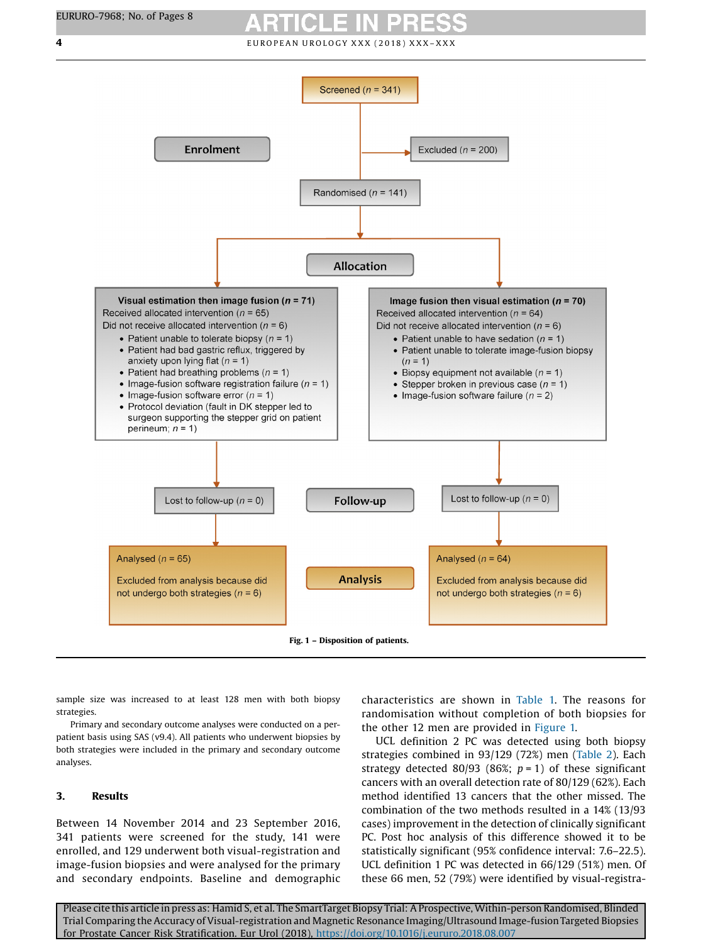

**4** EUROPEAN UROLOGY XXX (2018) XXX-XXX



sample size was increased to at least 128 men with both biopsy strategies.

Primary and secondary outcome analyses were conducted on a perpatient basis using SAS (v9.4). All patients who underwent biopsies by both strategies were included in the primary and secondary outcome analyses.

### 3. Results

Between 14 November 2014 and 23 September 2016, 341 patients were screened for the study, 141 were enrolled, and 129 underwent both visual-registration and image-fusion biopsies and were analysed for the primary and secondary endpoints. Baseline and demographic characteristics are shown in [Table](#page-2-0) 1. The reasons for randomisation without completion of both biopsies for the other 12 men are provided in Figure 1.

UCL definition 2 PC was detected using both biopsy strategies combined in 93/129 (72%) men [\(Table](#page-4-0) 2). Each strategy detected 80/93 (86%;  $p = 1$ ) of these significant cancers with an overall detection rate of 80/129 (62%). Each method identified 13 cancers that the other missed. The combination of the two methods resulted in a 14% (13/93 cases) improvement in the detection of clinically significant PC. Post hoc analysis of this difference showed it to be statistically significant (95% confidence interval: 7.6–22.5). UCL definition 1 PC was detected in 66/129 (51%) men. Of these 66 men, 52 (79%) were identified by visual-registra-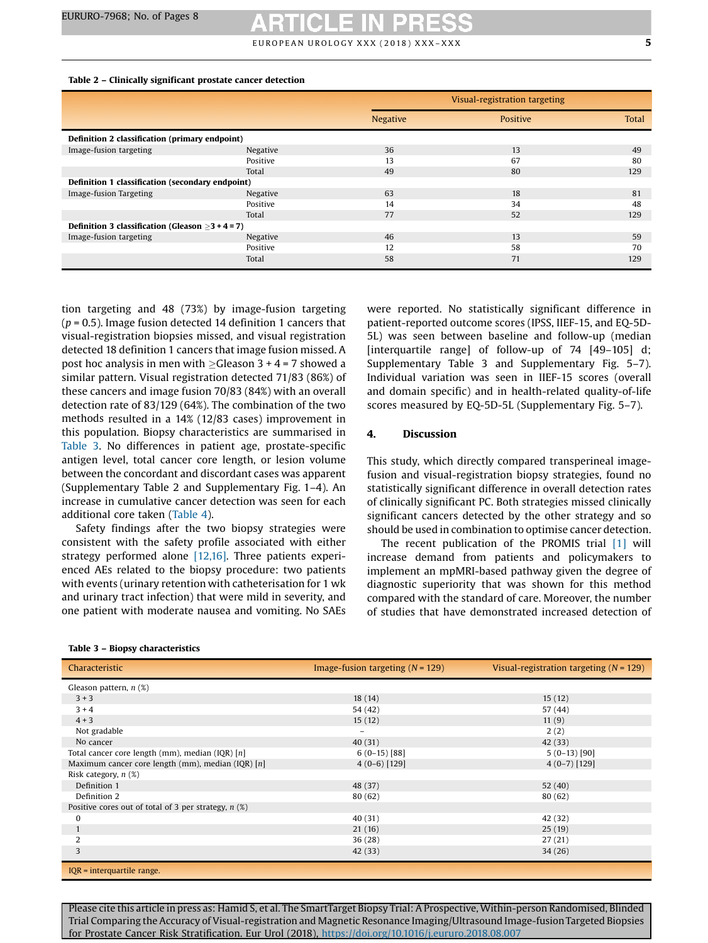## E U RO PEAN UROLOGY XXX (2018) XXX-XXX 5

### <span id="page-4-0"></span>Table 2 – Clinically significant prostate cancer detection

|                                                        |          | Visual-registration targeting |          |              |
|--------------------------------------------------------|----------|-------------------------------|----------|--------------|
|                                                        |          | <b>Negative</b>               | Positive | <b>Total</b> |
| Definition 2 classification (primary endpoint)         |          |                               |          |              |
| Image-fusion targeting                                 | Negative | 36                            | 13       | 49           |
|                                                        | Positive | 13                            | 67       | 80           |
|                                                        | Total    | 49                            | 80       | 129          |
| Definition 1 classification (secondary endpoint)       |          |                               |          |              |
| Image-fusion Targeting                                 | Negative | 63                            | 18       | 81           |
|                                                        | Positive | 14                            | 34       | 48           |
|                                                        | Total    | 77                            | 52       | 129          |
| Definition 3 classification (Gleason $\geq$ 3 + 4 = 7) |          |                               |          |              |
| Image-fusion targeting                                 | Negative | 46                            | 13       | 59           |
|                                                        | Positive | 12                            | 58       | 70           |
|                                                        | Total    | 58                            | 71       | 129          |

tion targeting and 48 (73%) by image-fusion targeting  $(p = 0.5)$ . Image fusion detected 14 definition 1 cancers that visual-registration biopsies missed, and visual registration detected 18 definition 1 cancers that image fusion missed. A post hoc analysis in men with  $\geq$ Gleason 3 + 4 = 7 showed a similar pattern. Visual registration detected 71/83 (86%) of these cancers and image fusion 70/83 (84%) with an overall detection rate of 83/129 (64%). The combination of the two methods resulted in a 14% (12/83 cases) improvement in this population. Biopsy characteristics are summarised in Table 3. No differences in patient age, prostate-specific antigen level, total cancer core length, or lesion volume between the concordant and discordant cases was apparent (Supplementary Table 2 and Supplementary Fig. 1–4). An increase in cumulative cancer detection was seen for each additional core taken [\(Table](#page-5-0) 4).

Safety findings after the two biopsy strategies were consistent with the safety profile associated with either strategy performed alone [\[12,16\]](#page-7-0). Three patients experienced AEs related to the biopsy procedure: two patients with events (urinary retention with catheterisation for 1 wk and urinary tract infection) that were mild in severity, and one patient with moderate nausea and vomiting. No SAEs

### Table 3 – Biopsy characteristics

were reported. No statistically significant difference in patient-reported outcome scores (IPSS, IIEF-15, and EQ-5D-5L) was seen between baseline and follow-up (median [interquartile range] of follow-up of 74 [49-105] d; Supplementary Table 3 and Supplementary Fig. 5–7). Individual variation was seen in IIEF-15 scores (overall and domain specific) and in health-related quality-of-life scores measured by EQ-5D-5L (Supplementary Fig. 5–7).

### 4. Discussion

This study, which directly compared transperineal imagefusion and visual-registration biopsy strategies, found no statistically significant difference in overall detection rates of clinically significant PC. Both strategies missed clinically significant cancers detected by the other strategy and so should be used in combination to optimise cancer detection.

The recent publication of the PROMIS trial [\[1\]](#page-6-0) will increase demand from patients and policymakers to implement an mpMRI-based pathway given the degree of diagnostic superiority that was shown for this method compared with the standard of care. Moreover, the number of studies that have demonstrated increased detection of

| Characteristic                                         | Image-fusion targeting $(N = 129)$ | Visual-registration targeting $(N = 129)$ |
|--------------------------------------------------------|------------------------------------|-------------------------------------------|
| Gleason pattern, $n$ (%)                               |                                    |                                           |
| $3 + 3$                                                | 18(14)                             | 15(12)                                    |
| $3 + 4$                                                | 54 (42)                            | 57(44)                                    |
| $4 + 3$                                                | 15(12)                             | 11(9)                                     |
| Not gradable                                           | $\equiv$                           | 2(2)                                      |
| No cancer                                              | 40(31)                             | 42 (33)                                   |
| Total cancer core length (mm), median (IQR) $[n]$      | $6(0-15)$ [88]                     | $5(0-13)[90]$                             |
| Maximum cancer core length (mm), median (IQR) $[n]$    | $4(0-6)$ [129]                     | $4(0-7)$ [129]                            |
| Risk category, $n$ $(\%)$                              |                                    |                                           |
| Definition 1                                           | 48 (37)                            | 52(40)                                    |
| Definition 2                                           | 80(62)                             | 80(62)                                    |
| Positive cores out of total of 3 per strategy, $n$ (%) |                                    |                                           |
| 0                                                      | 40 (31)                            | 42 (32)                                   |
|                                                        | 21(16)                             | 25(19)                                    |
| 2                                                      | 36(28)                             | 27(21)                                    |
| 3                                                      | 42 (33)                            | 34(26)                                    |
| $IOR = interquartile range.$                           |                                    |                                           |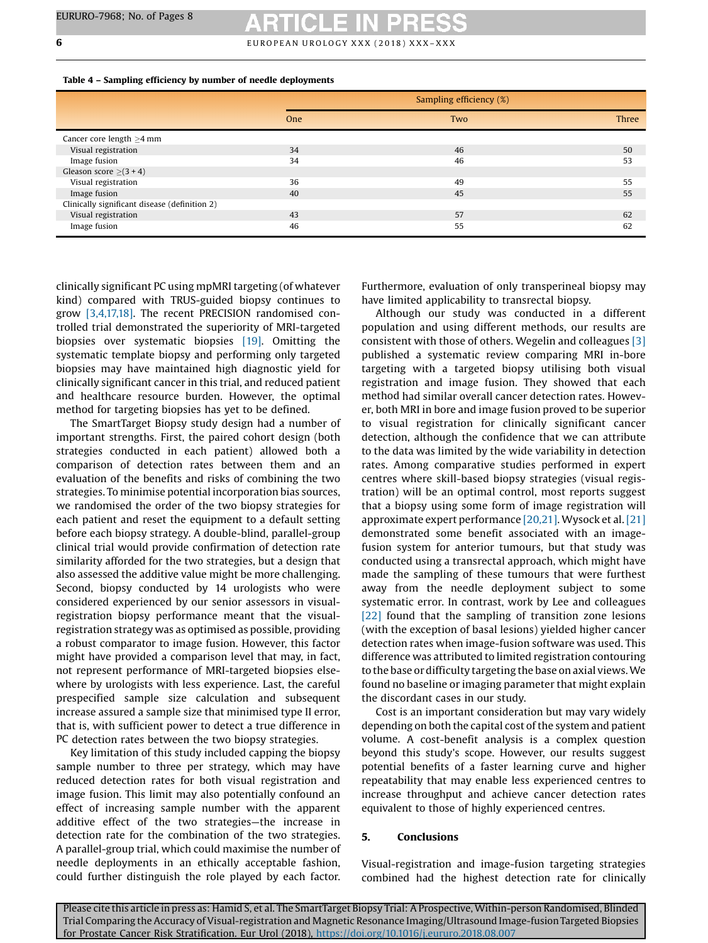## <span id="page-5-0"></span>6 **EUROPEAN UROLOGY XXX (2018) XXX-XXX**

### Table 4 – Sampling efficiency by number of needle deployments

|                                               | Sampling efficiency (%) |     |              |
|-----------------------------------------------|-------------------------|-----|--------------|
|                                               | <b>One</b>              | Two | <b>Three</b> |
| Cancer core length $\geq$ 4 mm                |                         |     |              |
| Visual registration                           | 34                      | 46  | 50           |
| Image fusion                                  | 34                      | 46  | 53           |
| Gleason score $\geq$ (3 + 4)                  |                         |     |              |
| Visual registration                           | 36                      | 49  | 55           |
| Image fusion                                  | 40                      | 45  | 55           |
| Clinically significant disease (definition 2) |                         |     |              |
| Visual registration                           | 43                      | 57  | 62           |
| Image fusion                                  | 46                      | 55  | 62           |

clinically significant PC using mpMRI targeting (of whatever kind) compared with TRUS-guided biopsy continues to grow [\[3,4,17,18\]](#page-6-0). The recent PRECISION randomised controlled trial demonstrated the superiority of MRI-targeted biopsies over systematic biopsies [\[19\].](#page-7-0) Omitting the systematic template biopsy and performing only targeted biopsies may have maintained high diagnostic yield for clinically significant cancer in this trial, and reduced patient and healthcare resource burden. However, the optimal method for targeting biopsies has yet to be defined.

The SmartTarget Biopsy study design had a number of important strengths. First, the paired cohort design (both strategies conducted in each patient) allowed both a comparison of detection rates between them and an evaluation of the benefits and risks of combining the two strategies. To minimise potential incorporation bias sources, we randomised the order of the two biopsy strategies for each patient and reset the equipment to a default setting before each biopsy strategy. A double-blind, parallel-group clinical trial would provide confirmation of detection rate similarity afforded for the two strategies, but a design that also assessed the additive value might be more challenging. Second, biopsy conducted by 14 urologists who were considered experienced by our senior assessors in visualregistration biopsy performance meant that the visualregistration strategy was as optimised as possible, providing a robust comparator to image fusion. However, this factor might have provided a comparison level that may, in fact, not represent performance of MRI-targeted biopsies elsewhere by urologists with less experience. Last, the careful prespecified sample size calculation and subsequent increase assured a sample size that minimised type II error, that is, with sufficient power to detect a true difference in PC detection rates between the two biopsy strategies.

Key limitation of this study included capping the biopsy sample number to three per strategy, which may have reduced detection rates for both visual registration and image fusion. This limit may also potentially confound an effect of increasing sample number with the apparent additive effect of the two strategies—the increase in detection rate for the combination of the two strategies. A parallel-group trial, which could maximise the number of needle deployments in an ethically acceptable fashion, could further distinguish the role played by each factor.

Furthermore, evaluation of only transperineal biopsy may have limited applicability to transrectal biopsy.

Although our study was conducted in a different population and using different methods, our results are consistent with those of others. Wegelin and colleagues [\[3\]](#page-6-0) published a systematic review comparing MRI in-bore targeting with a targeted biopsy utilising both visual registration and image fusion. They showed that each method had similar overall cancer detection rates. However, both MRI in bore and image fusion proved to be superior to visual registration for clinically significant cancer detection, although the confidence that we can attribute to the data was limited by the wide variability in detection rates. Among comparative studies performed in expert centres where skill-based biopsy strategies (visual registration) will be an optimal control, most reports suggest that a biopsy using some form of image registration will approximate expert performance [\[20,21\]](#page-7-0). Wysock et al.[\[21\]](#page-7-0) demonstrated some benefit associated with an imagefusion system for anterior tumours, but that study was conducted using a transrectal approach, which might have made the sampling of these tumours that were furthest away from the needle deployment subject to some systematic error. In contrast, work by Lee and colleagues [\[22\]](#page-7-0) found that the sampling of transition zone lesions (with the exception of basal lesions) yielded higher cancer detection rates when image-fusion software was used. This difference was attributed to limited registration contouring to the base or difficulty targeting the base on axial views. We found no baseline or imaging parameter that might explain the discordant cases in our study.

Cost is an important consideration but may vary widely depending on both the capital cost of the system and patient volume. A cost-benefit analysis is a complex question beyond this study's scope. However, our results suggest potential benefits of a faster learning curve and higher repeatability that may enable less experienced centres to increase throughput and achieve cancer detection rates equivalent to those of highly experienced centres.

### 5. Conclusions

Visual-registration and image-fusion targeting strategies combined had the highest detection rate for clinically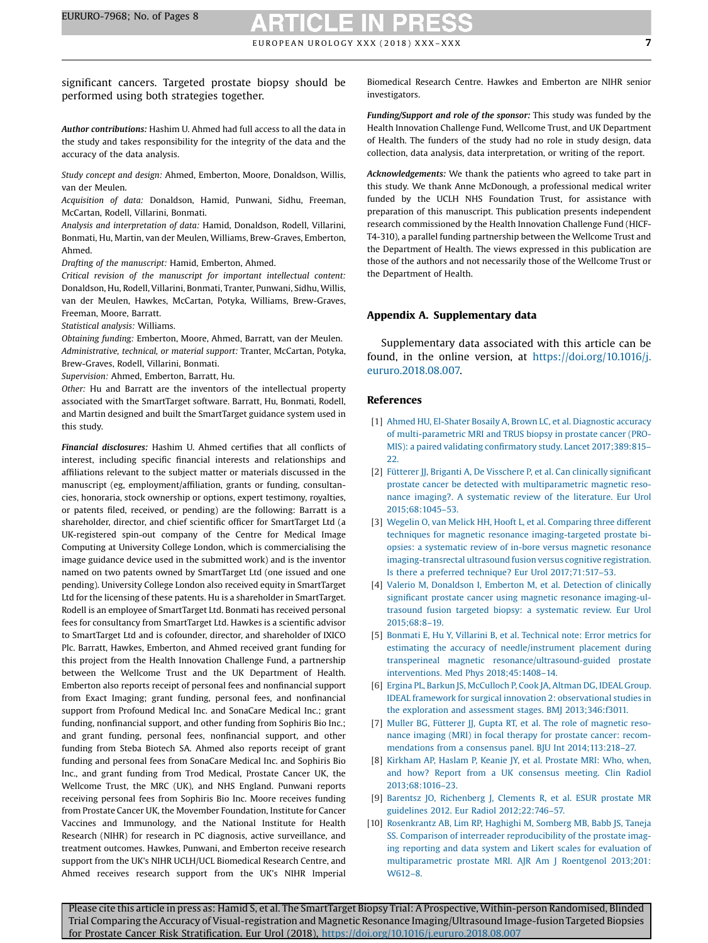### CEL. E U RO PEAN UROLOGY XXX (2018) XXX-XXX THE CONSTRUCTED A NORTH THAT A NORTH THAT A NORTH THAT A NORTH THAT A N

<span id="page-6-0"></span>significant cancers. Targeted prostate biopsy should be performed using both strategies together.

Author contributions: Hashim U. Ahmed had full access to all the data in the study and takes responsibility for the integrity of the data and the accuracy of the data analysis.

Study concept and design: Ahmed, Emberton, Moore, Donaldson, Willis, van der Meulen.

Acquisition of data: Donaldson, Hamid, Punwani, Sidhu, Freeman, McCartan, Rodell, Villarini, Bonmati.

Analysis and interpretation of data: Hamid, Donaldson, Rodell, Villarini, Bonmati, Hu, Martin, van der Meulen, Williams, Brew-Graves, Emberton, Ahmed.

Drafting of the manuscript: Hamid, Emberton, Ahmed.

Critical revision of the manuscript for important intellectual content: Donaldson, Hu, Rodell, Villarini, Bonmati, Tranter, Punwani, Sidhu, Willis, van der Meulen, Hawkes, McCartan, Potyka, Williams, Brew-Graves, Freeman, Moore, Barratt.

Statistical analysis: Williams.

Obtaining funding: Emberton, Moore, Ahmed, Barratt, van der Meulen. Administrative, technical, or material support: Tranter, McCartan, Potyka, Brew-Graves, Rodell, Villarini, Bonmati.

Supervision: Ahmed, Emberton, Barratt, Hu.

Other: Hu and Barratt are the inventors of the intellectual property associated with the SmartTarget software. Barratt, Hu, Bonmati, Rodell, and Martin designed and built the SmartTarget guidance system used in this study.

Financial disclosures: Hashim U. Ahmed certifies that all conflicts of interest, including specific financial interests and relationships and affiliations relevant to the subject matter or materials discussed in the manuscript (eg, employment/affiliation, grants or funding, consultancies, honoraria, stock ownership or options, expert testimony, royalties, or patents filed, received, or pending) are the following: Barratt is a shareholder, director, and chief scientific officer for SmartTarget Ltd (a UK-registered spin-out company of the Centre for Medical Image Computing at University College London, which is commercialising the image guidance device used in the submitted work) and is the inventor named on two patents owned by SmartTarget Ltd (one issued and one pending). University College London also received equity in SmartTarget Ltd for the licensing of these patents. Hu is a shareholder in SmartTarget. Rodell is an employee of SmartTarget Ltd. Bonmati has received personal fees for consultancy from SmartTarget Ltd. Hawkes is a scientific advisor to SmartTarget Ltd and is cofounder, director, and shareholder of IXICO Plc. Barratt, Hawkes, Emberton, and Ahmed received grant funding for this project from the Health Innovation Challenge Fund, a partnership between the Wellcome Trust and the UK Department of Health. Emberton also reports receipt of personal fees and nonfinancial support from Exact Imaging; grant funding, personal fees, and nonfinancial support from Profound Medical Inc. and SonaCare Medical Inc.; grant funding, nonfinancial support, and other funding from Sophiris Bio Inc.; and grant funding, personal fees, nonfinancial support, and other funding from Steba Biotech SA. Ahmed also reports receipt of grant funding and personal fees from SonaCare Medical Inc. and Sophiris Bio Inc., and grant funding from Trod Medical, Prostate Cancer UK, the Wellcome Trust, the MRC (UK), and NHS England. Punwani reports receiving personal fees from Sophiris Bio Inc. Moore receives funding from Prostate Cancer UK, the Movember Foundation, Institute for Cancer Vaccines and Immunology, and the National Institute for Health Research (NIHR) for research in PC diagnosis, active surveillance, and treatment outcomes. Hawkes, Punwani, and Emberton receive research support from the UK's NIHR UCLH/UCL Biomedical Research Centre, and Ahmed receives research support from the UK's NIHR Imperial

Biomedical Research Centre. Hawkes and Emberton are NIHR senior investigators.

Funding/Support and role of the sponsor: This study was funded by the Health Innovation Challenge Fund, Wellcome Trust, and UK Department of Health. The funders of the study had no role in study design, data collection, data analysis, data interpretation, or writing of the report.

Acknowledgements: We thank the patients who agreed to take part in this study. We thank Anne McDonough, a professional medical writer funded by the UCLH NHS Foundation Trust, for assistance with preparation of this manuscript. This publication presents independent research commissioned by the Health Innovation Challenge Fund (HICF-T4-310), a parallel funding partnership between the Wellcome Trust and the Department of Health. The views expressed in this publication are those of the authors and not necessarily those of the Wellcome Trust or the Department of Health.

### Appendix A. Supplementary data

Supplementary data associated with this article can be found, in the online version, at [https://doi.org/10.1016/j.](http://dx.doi.org/10.1016/j.eururo.2018.08.007) [eururo.2018.08.007.](http://dx.doi.org/10.1016/j.eururo.2018.08.007)

### References

- [1] Ahmed HU, El-Shater Bosaily A, Brown LC, et al. [Diagnostic](http://refhub.elsevier.com/S0302-2838(18)30592-X/sbref0115) accuracy of [multi-parametric](http://refhub.elsevier.com/S0302-2838(18)30592-X/sbref0115) MRI and TRUS biopsy in prostate cancer (PRO-MIS): a paired validating confirmatory study. Lancet [2017;389:815](http://refhub.elsevier.com/S0302-2838(18)30592-X/sbref0115)– [22.](http://refhub.elsevier.com/S0302-2838(18)30592-X/sbref0115)
- [2] Fütterer JJ, Briganti A, De [Visschere](http://refhub.elsevier.com/S0302-2838(18)30592-X/sbref0120) P, et al. Can clinically significant prostate cancer be detected with [multiparametric](http://refhub.elsevier.com/S0302-2838(18)30592-X/sbref0120) magnetic resonance imaging?. A [systematic](http://refhub.elsevier.com/S0302-2838(18)30592-X/sbref0120) review of the literature. Eur Urol [2015;68:1045](http://refhub.elsevier.com/S0302-2838(18)30592-X/sbref0120)–53.
- [3] Wegelin O, van Melick HH, Hooft L, et al. [Comparing](http://refhub.elsevier.com/S0302-2838(18)30592-X/sbref0125) three different techniques for magnetic resonance [imaging-targeted](http://refhub.elsevier.com/S0302-2838(18)30592-X/sbref0125) prostate biopsies: a [systematic](http://refhub.elsevier.com/S0302-2838(18)30592-X/sbref0125) review of in-bore versus magnetic resonance [imaging-transrectal](http://refhub.elsevier.com/S0302-2838(18)30592-X/sbref0125) ultrasound fusion versus cognitive registration. Is there a preferred technique? Eur Urol [2017;71:517](http://refhub.elsevier.com/S0302-2838(18)30592-X/sbref0125)–53.
- [4] Valerio M, [Donaldson](http://refhub.elsevier.com/S0302-2838(18)30592-X/sbref0130) I, Emberton M, et al. Detection of clinically significant prostate cancer using magnetic resonance [imaging-ul](http://refhub.elsevier.com/S0302-2838(18)30592-X/sbref0130)trasound fusion targeted biopsy: a [systematic](http://refhub.elsevier.com/S0302-2838(18)30592-X/sbref0130) review. Eur Urol [2015;68:8](http://refhub.elsevier.com/S0302-2838(18)30592-X/sbref0130)–19.
- [5] Bonmati E, Hu Y, Villarini B, et al. [Technical](http://refhub.elsevier.com/S0302-2838(18)30592-X/sbref0135) note: Error metrics for estimating the accuracy of [needle/instrument](http://refhub.elsevier.com/S0302-2838(18)30592-X/sbref0135) placement during transperineal magnetic [resonance/ultrasound-guided](http://refhub.elsevier.com/S0302-2838(18)30592-X/sbref0135) prostate [interventions.](http://refhub.elsevier.com/S0302-2838(18)30592-X/sbref0135) Med Phys 2018;45:1408–14.
- [6] Ergina PL, Barkun JS, [McCulloch](http://refhub.elsevier.com/S0302-2838(18)30592-X/sbref0140) P, Cook JA, Altman DG, IDEAL Group. IDEAL framework for surgical innovation 2: [observational](http://refhub.elsevier.com/S0302-2838(18)30592-X/sbref0140) studies in the exploration and assessment stages. BMJ [2013;346:f3011.](http://refhub.elsevier.com/S0302-2838(18)30592-X/sbref0140)
- [7] Muller BG, Fütterer JJ, Gupta RT, et al. The role of [magnetic](http://refhub.elsevier.com/S0302-2838(18)30592-X/sbref0145) resonance imaging (MRI) in focal therapy for [prostate](http://refhub.elsevier.com/S0302-2838(18)30592-X/sbref0145) cancer: recommendations from a consensus panel. BJU Int [2014;113:218](http://refhub.elsevier.com/S0302-2838(18)30592-X/sbref0145)–27.
- [8] [Kirkham](http://refhub.elsevier.com/S0302-2838(18)30592-X/sbref0150) AP, Haslam P, Keanie JY, et al. Prostate MRI: Who, when, and how? Report from a UK [consensus](http://refhub.elsevier.com/S0302-2838(18)30592-X/sbref0150) meeting. Clin Radiol [2013;68:1016](http://refhub.elsevier.com/S0302-2838(18)30592-X/sbref0150)–23.
- [9] Barentsz JO, [Richenberg](http://refhub.elsevier.com/S0302-2838(18)30592-X/sbref0155) J, Clements R, et al. ESUR prostate MR guidelines 2012. Eur Radiol [2012;22:746](http://refhub.elsevier.com/S0302-2838(18)30592-X/sbref0155)–57.
- [10] [Rosenkrantz](http://refhub.elsevier.com/S0302-2838(18)30592-X/sbref0160) AB, Lim RP, Haghighi M, Somberg MB, Babb JS, Taneja SS. Comparison of interreader [reproducibility](http://refhub.elsevier.com/S0302-2838(18)30592-X/sbref0160) of the prostate imaging reporting and data system and Likert scales for [evaluation](http://refhub.elsevier.com/S0302-2838(18)30592-X/sbref0160) of [multiparametric](http://refhub.elsevier.com/S0302-2838(18)30592-X/sbref0160) prostate MRI. AJR Am J Roentgenol 2013;201: [W612](http://refhub.elsevier.com/S0302-2838(18)30592-X/sbref0160)–8.